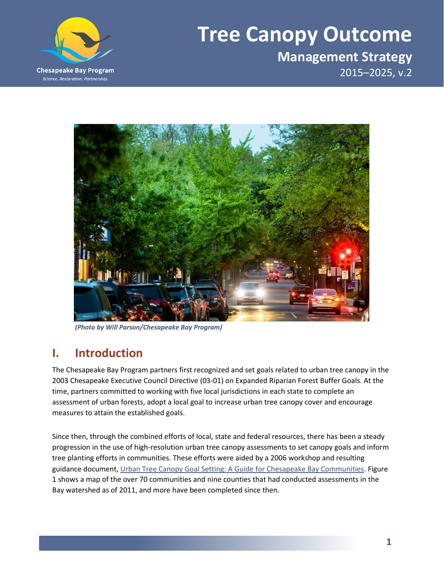

# **Tree Canopy Outcome**

**Management Strategy** 2015–2025, v.2



*(Photo by Will Parson/Chesapeake Bay Program)*

### **I. Introduction**

The Chesapeake Bay Program partners first recognized and set goals related to urban tree canopy in the 2003 Chesapeake Executive Council Directive (03-01) on Expanded Riparian Forest Buffer Goals. At the time, partners committed to working with five local jurisdictions in each state to complete an assessment of urban forests, adopt a local goal to increase urban tree canopy cover and encourage measures to attain the established goals.

Since then, through the combined efforts of local, state and federal resources, there has been a steady progression in the use of high-resolution urban tree canopy assessments to set canopy goals and inform tree planting efforts in communities. These efforts were aided by a 2006 workshop and resulting guidance document, [Urban Tree Canopy Goal Setting: A Guide for Chesapeake Bay Communities.](http://www.chesapeakebay.net/documents/UTC_Guide_Final.pdf) Figure 1 shows a map of the over 70 communities and nine counties that had conducted assessments in the Bay watershed as of 2011, and more have been completed since then.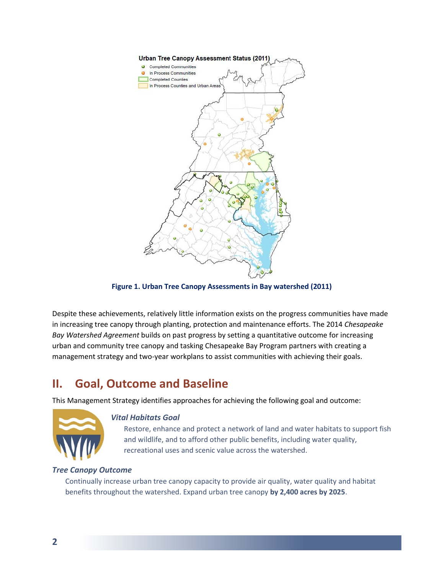

**Figure 1. Urban Tree Canopy Assessments in Bay watershed (2011)**

Despite these achievements, relatively little information exists on the progress communities have made in increasing tree canopy through planting, protection and maintenance efforts. The 2014 *Chesapeake Bay Watershed Agreement* builds on past progress by setting a quantitative outcome for increasing urban and community tree canopy and tasking Chesapeake Bay Program partners with creating a management strategy and two-year workplans to assist communities with achieving their goals.

# **II. Goal, Outcome and Baseline**

This Management Strategy identifies approaches for achieving the following goal and outcome:



#### *Vital Habitats Goal*

Restore, enhance and protect a network of land and water habitats to support fish and wildlife, and to afford other public benefits, including water quality, recreational uses and scenic value across the watershed.

#### *Tree Canopy Outcome*

Continually increase urban tree canopy capacity to provide air quality, water quality and habitat benefits throughout the watershed. Expand urban tree canopy **by 2,400 acres by 2025**.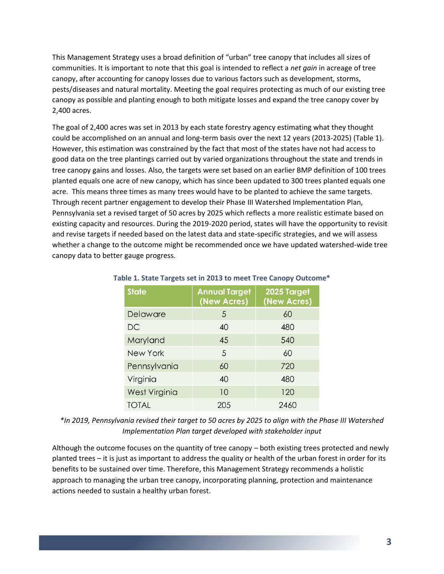This Management Strategy uses a broad definition of "urban" tree canopy that includes all sizes of communities. It is important to note that this goal is intended to reflect a *net gain* in acreage of tree canopy, after accounting for canopy losses due to various factors such as development, storms, pests/diseases and natural mortality. Meeting the goal requires protecting as much of our existing tree canopy as possible and planting enough to both mitigate losses and expand the tree canopy cover by 2,400 acres.

The goal of 2,400 acres was set in 2013 by each state forestry agency estimating what they thought could be accomplished on an annual and long-term basis over the next 12 years (2013-2025) (Table 1). However, this estimation was constrained by the fact that most of the states have not had access to good data on the tree plantings carried out by varied organizations throughout the state and trends in tree canopy gains and losses. Also, the targets were set based on an earlier BMP definition of 100 trees planted equals one acre of new canopy, which has since been updated to 300 trees planted equals one acre. This means three times as many trees would have to be planted to achieve the same targets. Through recent partner engagement to develop their Phase III Watershed Implementation Plan, Pennsylvania set a revised target of 50 acres by 2025 which reflects a more realistic estimate based on existing capacity and resources. During the 2019-2020 period, states will have the opportunity to revisit and revise targets if needed based on the latest data and state-specific strategies, and we will assess whether a change to the outcome might be recommended once we have updated watershed-wide tree canopy data to better gauge progress.

| <b>State</b>         | <b>Annual Target</b><br>(New Acres) | 2025 Target<br>(New Acres) |
|----------------------|-------------------------------------|----------------------------|
| Delaware             | 5                                   | 60                         |
| <b>DC</b>            | 40                                  | 480                        |
| Maryland             | 45                                  | 540                        |
| <b>New York</b>      | 5                                   | 60                         |
| Pennsylvania         | 60                                  | 720                        |
| Virginia             | 40                                  | 480                        |
| <b>West Virginia</b> | 10                                  | 120                        |
| <b>TOTAL</b>         | 20.5                                | 2460                       |

#### **Table 1. State Targets set in 2013 to meet Tree Canopy Outcome\***

*\*In 2019, Pennsylvania revised their target to 50 acres by 2025 to align with the Phase III Watershed Implementation Plan target developed with stakeholder input*

Although the outcome focuses on the quantity of tree canopy – both existing trees protected and newly planted trees – it is just as important to address the quality or health of the urban forest in order for its benefits to be sustained over time. Therefore, this Management Strategy recommends a holistic approach to managing the urban tree canopy, incorporating planning, protection and maintenance actions needed to sustain a healthy urban forest.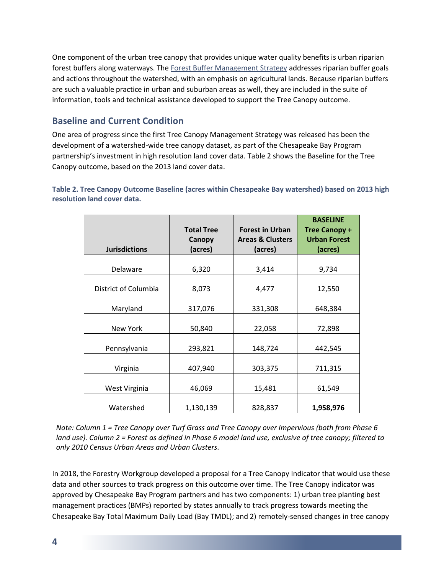One component of the urban tree canopy that provides unique water quality benefits is urban riparian forest buffers along waterways. The [Forest Buffer Management Strategy](http://www.chesapeakebay.net/managementstrategies/strategy/forest_buffer) addresses riparian buffer goals and actions throughout the watershed, with an emphasis on agricultural lands. Because riparian buffers are such a valuable practice in urban and suburban areas as well, they are included in the suite of information, tools and technical assistance developed to support the Tree Canopy outcome.

#### **Baseline and Current Condition**

One area of progress since the first Tree Canopy Management Strategy was released has been the development of a watershed-wide tree canopy dataset, as part of the Chesapeake Bay Program partnership's investment in high resolution land cover data. Table 2 shows the Baseline for the Tree Canopy outcome, based on the 2013 land cover data.

#### **Table 2. Tree Canopy Outcome Baseline (acres within Chesapeake Bay watershed) based on 2013 high resolution land cover data.**

| <b>Jurisdictions</b> | <b>Total Tree</b><br>Canopy<br>(acres) | <b>Forest in Urban</b><br><b>Areas &amp; Clusters</b><br>(acres) | <b>BASELINE</b><br><b>Tree Canopy +</b><br><b>Urban Forest</b><br>(acres) |
|----------------------|----------------------------------------|------------------------------------------------------------------|---------------------------------------------------------------------------|
| Delaware             | 6,320                                  | 3,414                                                            | 9,734                                                                     |
| District of Columbia | 8,073                                  | 4,477                                                            | 12,550                                                                    |
| Maryland             | 317,076                                | 331,308                                                          | 648,384                                                                   |
| New York             | 50,840                                 | 22,058                                                           | 72,898                                                                    |
| Pennsylvania         | 293,821                                | 148,724                                                          | 442,545                                                                   |
| Virginia             | 407,940                                | 303,375                                                          | 711,315                                                                   |
| West Virginia        | 46,069                                 | 15,481                                                           | 61,549                                                                    |
| Watershed            | 1,130,139                              | 828,837                                                          | 1,958,976                                                                 |

*Note: Column 1 = Tree Canopy over Turf Grass and Tree Canopy over Impervious (both from Phase 6 land use). Column 2 = Forest as defined in Phase 6 model land use, exclusive of tree canopy; filtered to only 2010 Census Urban Areas and Urban Clusters.*

In 2018, the Forestry Workgroup developed a proposal for a Tree Canopy Indicator that would use these data and other sources to track progress on this outcome over time. The Tree Canopy indicator was approved by Chesapeake Bay Program partners and has two components: 1) urban tree planting best management practices (BMPs) reported by states annually to track progress towards meeting the Chesapeake Bay Total Maximum Daily Load (Bay TMDL); and 2) remotely-sensed changes in tree canopy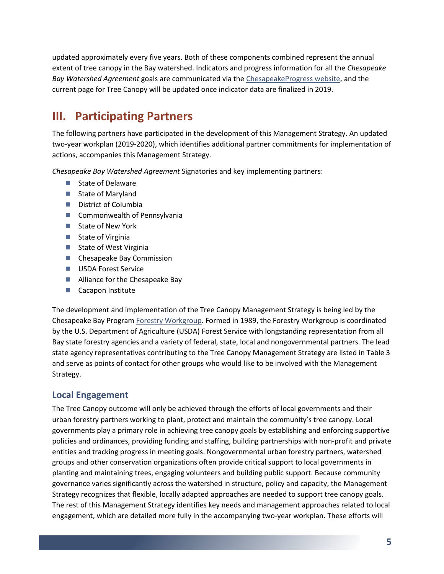updated approximately every five years. Both of these components combined represent the annual extent of tree canopy in the Bay watershed. Indicators and progress information for all the *Chesapeake Bay Watershed Agreement* goals are communicated via th[e ChesapeakeProgress website,](https://www.chesapeakeprogress.com/) and the current page for Tree Canopy will be updated once indicator data are finalized in 2019.

# **III. Participating Partners**

The following partners have participated in the development of this Management Strategy. An updated two-year workplan (2019-2020), which identifies additional partner commitments for implementation of actions, accompanies this Management Strategy.

*Chesapeake Bay Watershed Agreement* Signatories and key implementing partners:

- State of Delaware
- State of Maryland
- District of Columbia
- Commonwealth of Pennsylvania
- State of New York
- State of Virginia
- State of West Virginia
- Chesapeake Bay Commission
- USDA Forest Service
- Alliance for the Chesapeake Bay
- Cacapon Institute

The development and implementation of the Tree Canopy Management Strategy is being led by the Chesapeake Bay Program [Forestry Workgroup.](http://www.chesapeakebay.net/groups/group/forestry_workgroup) Formed in 1989, the Forestry Workgroup is coordinated by the U.S. Department of Agriculture (USDA) Forest Service with longstanding representation from all Bay state forestry agencies and a variety of federal, state, local and nongovernmental partners. The lead state agency representatives contributing to the Tree Canopy Management Strategy are listed in Table 3 and serve as points of contact for other groups who would like to be involved with the Management Strategy.

#### **Local Engagement**

The Tree Canopy outcome will only be achieved through the efforts of local governments and their urban forestry partners working to plant, protect and maintain the community's tree canopy. Local governments play a primary role in achieving tree canopy goals by establishing and enforcing supportive policies and ordinances, providing funding and staffing, building partnerships with non-profit and private entities and tracking progress in meeting goals. Nongovernmental urban forestry partners, watershed groups and other conservation organizations often provide critical support to local governments in planting and maintaining trees, engaging volunteers and building public support. Because community governance varies significantly across the watershed in structure, policy and capacity, the Management Strategy recognizes that flexible, locally adapted approaches are needed to support tree canopy goals. The rest of this Management Strategy identifies key needs and management approaches related to local engagement, which are detailed more fully in the accompanying two-year workplan. These efforts will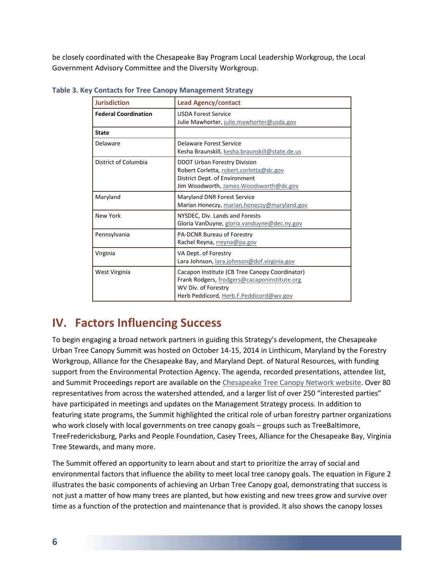be closely coordinated with the Chesapeake Bay Program Local Leadership Workgroup, the Local Government Advisory Committee and the Diversity Workgroup.

| <b>Jurisdiction</b>         | <b>Lead Agency/contact</b>                                                                                                                                       |
|-----------------------------|------------------------------------------------------------------------------------------------------------------------------------------------------------------|
| <b>Federal Coordination</b> | <b>USDA Forest Service</b><br>Julie Mawhorter, julie.mawhorter@usda.gov                                                                                          |
| <b>State</b>                |                                                                                                                                                                  |
| Delaware                    | Delaware Forest Service<br>Kesha Braunskill, kesha.braunskill@state.de.us                                                                                        |
| District of Columbia        | DDOT Urban Forestry Division<br>Robert Corletta, robert.corletta@dc.gov<br>District Dept. of Environment<br>Jim Woodworth, James. Woodsworth@dc.gov              |
| Maryland                    | Maryland DNR Forest Service<br>Marian Honeczy, marian.honeczy@maryland.gov                                                                                       |
| New York                    | NYSDEC, Div. Lands and Forests<br>Gloria VanDuyne, gloria.vanduyne@dec.ny.gov                                                                                    |
| Pennsylvania                | PA-DCNR Bureau of Forestry<br>Rachel Reyna, rreyna@pa.gov                                                                                                        |
| Virginia                    | VA Dept. of Forestry<br>Lara Johnson, lara.johnson@dof.virginia.gov                                                                                              |
| West Virginia               | Cacapon Institute (CB Tree Canopy Coordinator)<br>Frank Rodgers, frodgers@cacaponinstitute.org<br>WV Div. of Forestry<br>Herb Peddicord, Herb.F.Peddicord@wv.gov |

**Table 3. Key Contacts for Tree Canopy Management Strategy**

### **IV. Factors Influencing Success**

To begin engaging a broad network partners in guiding this Strategy's development, the Chesapeake Urban Tree Canopy Summit was hosted on October 14-15, 2014 in Linthicum, Maryland by the Forestry Workgroup, Alliance for the Chesapeake Bay, and Maryland Dept. of Natural Resources, with funding support from the Environmental Protection Agency. The agenda, recorded presentations, attendee list, and Summit Proceedings report are available on the [Chesapeake Tree Canopy Network website.](http://chesapeaketrees.net/2017/03/01/urban-tree-canopy-summit/) Over 80 representatives from across the watershed attended, and a larger list of over 250 "interested parties" have participated in meetings and updates on the Management Strategy process. In addition to featuring state programs, the Summit highlighted the critical role of urban forestry partner organizations who work closely with local governments on tree canopy goals – groups such as TreeBaltimore, TreeFredericksburg, Parks and People Foundation, Casey Trees, Alliance for the Chesapeake Bay, Virginia Tree Stewards, and many more.

The Summit offered an opportunity to learn about and start to prioritize the array of social and environmental factors that influence the ability to meet local tree canopy goals. The equation in Figure 2 illustrates the basic components of achieving an Urban Tree Canopy goal, demonstrating that success is not just a matter of how many trees are planted, but how existing and new trees grow and survive over time as a function of the protection and maintenance that is provided. It also shows the canopy losses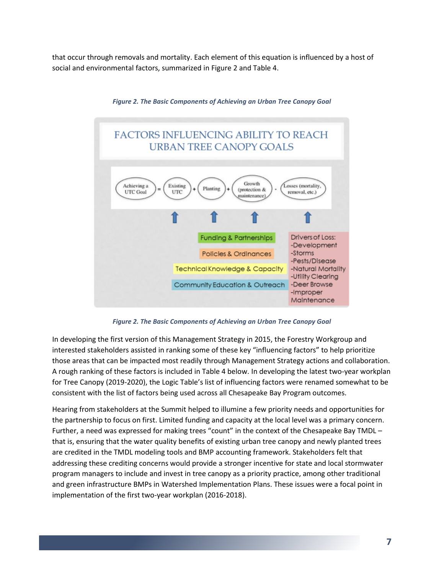that occur through removals and mortality. Each element of this equation is influenced by a host of social and environmental factors, summarized in Figure 2 and Table 4.



*Figure 2. The Basic Components of Achieving an Urban Tree Canopy Goal*

*Figure 2. The Basic Components of Achieving an Urban Tree Canopy Goal*

In developing the first version of this Management Strategy in 2015, the Forestry Workgroup and interested stakeholders assisted in ranking some of these key "influencing factors" to help prioritize those areas that can be impacted most readily through Management Strategy actions and collaboration. A rough ranking of these factors is included in Table 4 below. In developing the latest two-year workplan for Tree Canopy (2019-2020), the Logic Table's list of influencing factors were renamed somewhat to be consistent with the list of factors being used across all Chesapeake Bay Program outcomes.

Hearing from stakeholders at the Summit helped to illumine a few priority needs and opportunities for the partnership to focus on first. Limited funding and capacity at the local level was a primary concern. Further, a need was expressed for making trees "count" in the context of the Chesapeake Bay TMDL – that is, ensuring that the water quality benefits of existing urban tree canopy and newly planted trees are credited in the TMDL modeling tools and BMP accounting framework. Stakeholders felt that addressing these crediting concerns would provide a stronger incentive for state and local stormwater program managers to include and invest in tree canopy as a priority practice, among other traditional and green infrastructure BMPs in Watershed Implementation Plans. These issues were a focal point in implementation of the first two-year workplan (2016-2018).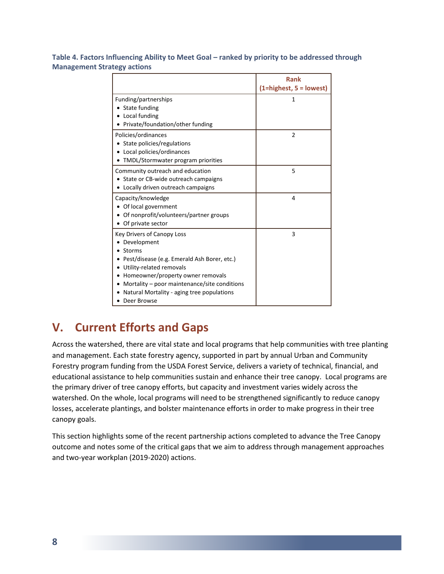**Table 4. Factors Influencing Ability to Meet Goal – ranked by priority to be addressed through Management Strategy actions**

|                                                                                                                                                                                                                                                                                                     | <b>Rank</b><br>$(1 = higher, 5 = lowest)$ |
|-----------------------------------------------------------------------------------------------------------------------------------------------------------------------------------------------------------------------------------------------------------------------------------------------------|-------------------------------------------|
| Funding/partnerships<br>• State funding<br>Local funding                                                                                                                                                                                                                                            | 1                                         |
| Private/foundation/other funding                                                                                                                                                                                                                                                                    |                                           |
| Policies/ordinances<br>• State policies/regulations<br>Local policies/ordinances<br>TMDL/Stormwater program priorities                                                                                                                                                                              | 2                                         |
| Community outreach and education<br>• State or CB-wide outreach campaigns<br>• Locally driven outreach campaigns                                                                                                                                                                                    | 5                                         |
| Capacity/knowledge<br>• Of local government<br>Of nonprofit/volunteers/partner groups<br>Of private sector                                                                                                                                                                                          | 4                                         |
| <b>Key Drivers of Canopy Loss</b><br>Development<br>Storms<br>Pest/disease (e.g. Emerald Ash Borer, etc.)<br>Utility-related removals<br>Homeowner/property owner removals<br>٠<br>Mortality – poor maintenance/site conditions<br>٠<br>Natural Mortality - aging tree populations<br>• Deer Browse | 3                                         |

### **V. Current Efforts and Gaps**

Across the watershed, there are vital state and local programs that help communities with tree planting and management. Each state forestry agency, supported in part by annual Urban and Community Forestry program funding from the USDA Forest Service, delivers a variety of technical, financial, and educational assistance to help communities sustain and enhance their tree canopy. Local programs are the primary driver of tree canopy efforts, but capacity and investment varies widely across the watershed. On the whole, local programs will need to be strengthened significantly to reduce canopy losses, accelerate plantings, and bolster maintenance efforts in order to make progress in their tree canopy goals.

This section highlights some of the recent partnership actions completed to advance the Tree Canopy outcome and notes some of the critical gaps that we aim to address through management approaches and two-year workplan (2019-2020) actions.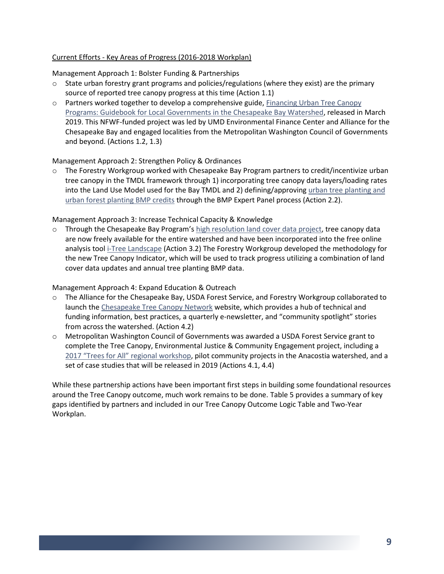#### Current Efforts - Key Areas of Progress (2016-2018 Workplan)

Management Approach 1: Bolster Funding & Partnerships

- $\circ$  State urban forestry grant programs and policies/regulations (where they exist) are the primary source of reported tree canopy progress at this time (Action 1.1)
- o Partners worked together to develop a comprehensive guide, [Financing Urban Tree Canopy](http://chesapeaketrees.net/category/funding/) [Programs: Guidebook for Local Governments in the Chesapeake Bay Watershed,](http://chesapeaketrees.net/category/funding/) released in March 2019. This NFWF-funded project was led by UMD Environmental Finance Center and Alliance for the Chesapeake Bay and engaged localities from the Metropolitan Washington Council of Governments and beyond. (Actions 1.2, 1.3)

#### Management Approach 2: Strengthen Policy & Ordinances

o The Forestry Workgroup worked with Chesapeake Bay Program partners to credit/incentivize urban tree canopy in the TMDL framework through 1) incorporating tree canopy data layers/loading rates into the Land Use Model used for the Bay TMDL and 2) defining/approving urban tree planting and [urban forest planting BMP credits](https://chesapeakestormwater.net/urban-tree-canopy-expansion/) through the BMP Expert Panel process (Action 2.2).

Management Approach 3: Increase Technical Capacity & Knowledge

 $\circ$  Through the Chesapeake Bay Program's [high resolution land cover data project,](https://chesapeakeconservancy.org/conservation-innovation-center/high-resolution-data/land-cover-data-project/) tree canopy data are now freely available for the entire watershed and have been incorporated into the free online analysis too[l i-Tree Landscape](http://www.itreetools.org/landscape/) (Action 3.2) The Forestry Workgroup developed the methodology for the new Tree Canopy Indicator, which will be used to track progress utilizing a combination of land cover data updates and annual tree planting BMP data.

Management Approach 4: Expand Education & Outreach

- o The Alliance for the Chesapeake Bay, USDA Forest Service, and Forestry Workgroup collaborated to launch th[e Chesapeake Tree Canopy Network](http://www.chesapeaketrees.net/) website, which provides a hub of technical and funding information, best practices, a quarterly e-newsletter, and "community spotlight" stories from across the watershed. (Action 4.2)
- o Metropolitan Washington Council of Governments was awarded a USDA Forest Service grant to complete the Tree Canopy, Environmental Justice & Community Engagement project, including a 2017 "Trees for All" [regional workshop,](http://chesapeaketrees.net/2017/08/25/trees-for-all-workshop/) pilot community projects in the Anacostia watershed, and a set of case studies that will be released in 2019 (Actions 4.1, 4.4)

While these partnership actions have been important first steps in building some foundational resources around the Tree Canopy outcome, much work remains to be done. Table 5 provides a summary of key gaps identified by partners and included in our Tree Canopy Outcome Logic Table and Two-Year Workplan.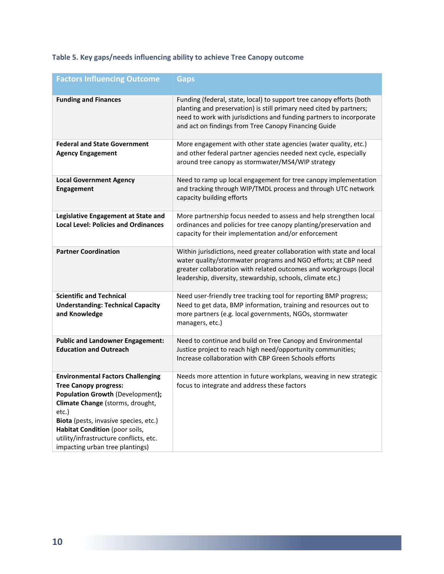#### **Table 5. Key gaps/needs influencing ability to achieve Tree Canopy outcome**

| <b>Factors Influencing Outcome</b>                                                                                                                                                                                                                                                                                | <b>Gaps</b>                                                                                                                                                                                                                                                                |
|-------------------------------------------------------------------------------------------------------------------------------------------------------------------------------------------------------------------------------------------------------------------------------------------------------------------|----------------------------------------------------------------------------------------------------------------------------------------------------------------------------------------------------------------------------------------------------------------------------|
| <b>Funding and Finances</b>                                                                                                                                                                                                                                                                                       | Funding (federal, state, local) to support tree canopy efforts (both<br>planting and preservation) is still primary need cited by partners;<br>need to work with jurisdictions and funding partners to incorporate<br>and act on findings from Tree Canopy Financing Guide |
| <b>Federal and State Government</b><br><b>Agency Engagement</b>                                                                                                                                                                                                                                                   | More engagement with other state agencies (water quality, etc.)<br>and other federal partner agencies needed next cycle, especially<br>around tree canopy as stormwater/MS4/WIP strategy                                                                                   |
| <b>Local Government Agency</b><br><b>Engagement</b>                                                                                                                                                                                                                                                               | Need to ramp up local engagement for tree canopy implementation<br>and tracking through WIP/TMDL process and through UTC network<br>capacity building efforts                                                                                                              |
| Legislative Engagement at State and<br><b>Local Level: Policies and Ordinances</b>                                                                                                                                                                                                                                | More partnership focus needed to assess and help strengthen local<br>ordinances and policies for tree canopy planting/preservation and<br>capacity for their implementation and/or enforcement                                                                             |
| <b>Partner Coordination</b>                                                                                                                                                                                                                                                                                       | Within jurisdictions, need greater collaboration with state and local<br>water quality/stormwater programs and NGO efforts; at CBP need<br>greater collaboration with related outcomes and workgroups (local<br>leadership, diversity, stewardship, schools, climate etc.) |
| <b>Scientific and Technical</b><br><b>Understanding: Technical Capacity</b><br>and Knowledge                                                                                                                                                                                                                      | Need user-friendly tree tracking tool for reporting BMP progress;<br>Need to get data, BMP information, training and resources out to<br>more partners (e.g. local governments, NGOs, stormwater<br>managers, etc.)                                                        |
| <b>Public and Landowner Engagement:</b><br><b>Education and Outreach</b>                                                                                                                                                                                                                                          | Need to continue and build on Tree Canopy and Environmental<br>Justice project to reach high need/opportunity communities;<br>Increase collaboration with CBP Green Schools efforts                                                                                        |
| <b>Environmental Factors Challenging</b><br><b>Tree Canopy progress:</b><br>Population Growth (Development);<br>Climate Change (storms, drought,<br>etc.)<br>Biota (pests, invasive species, etc.)<br>Habitat Condition (poor soils,<br>utility/infrastructure conflicts, etc.<br>impacting urban tree plantings) | Needs more attention in future workplans, weaving in new strategic<br>focus to integrate and address these factors                                                                                                                                                         |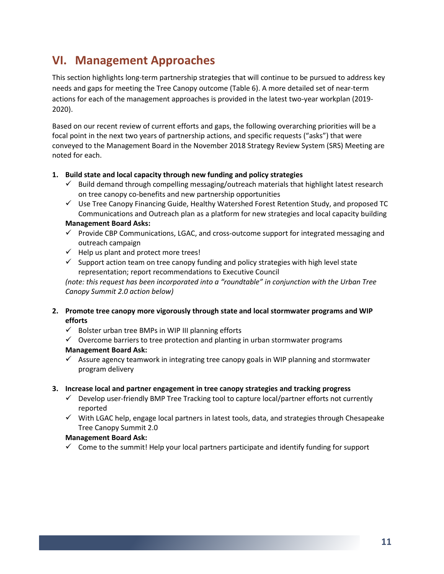### **VI. Management Approaches**

This section highlights long-term partnership strategies that will continue to be pursued to address key needs and gaps for meeting the Tree Canopy outcome (Table 6). A more detailed set of near-term actions for each of the management approaches is provided in the latest two-year workplan (2019- 2020).

Based on our recent review of current efforts and gaps, the following overarching priorities will be a focal point in the next two years of partnership actions, and specific requests ("asks") that were conveyed to the Management Board in the November 2018 Strategy Review System (SRS) Meeting are noted for each.

#### **1. Build state and local capacity through new funding and policy strategies**

- $\checkmark$  Build demand through compelling messaging/outreach materials that highlight latest research on tree canopy co-benefits and new partnership opportunities
- $\checkmark$  Use Tree Canopy Financing Guide, Healthy Watershed Forest Retention Study, and proposed TC Communications and Outreach plan as a platform for new strategies and local capacity building

#### **Management Board Asks:**

- $\checkmark$  Provide CBP Communications, LGAC, and cross-outcome support for integrated messaging and outreach campaign
- $\checkmark$  Help us plant and protect more trees!
- $\checkmark$  Support action team on tree canopy funding and policy strategies with high level state representation; report recommendations to Executive Council

*(note: this request has been incorporated into a "roundtable" in conjunction with the Urban Tree Canopy Summit 2.0 action below)*

#### **2. Promote tree canopy more vigorously through state and local stormwater programs and WIP efforts**

- $\checkmark$  Bolster urban tree BMPs in WIP III planning efforts
- $\checkmark$  Overcome barriers to tree protection and planting in urban stormwater programs **Management Board Ask:**
- $\checkmark$  Assure agency teamwork in integrating tree canopy goals in WIP planning and stormwater program delivery

#### **3. Increase local and partner engagement in tree canopy strategies and tracking progress**

- $\checkmark$  Develop user-friendly BMP Tree Tracking tool to capture local/partner efforts not currently reported
- ✓ With LGAC help, engage local partners in latest tools, data, and strategies through Chesapeake Tree Canopy Summit 2.0

#### **Management Board Ask:**

 $\checkmark$  Come to the summit! Help your local partners participate and identify funding for support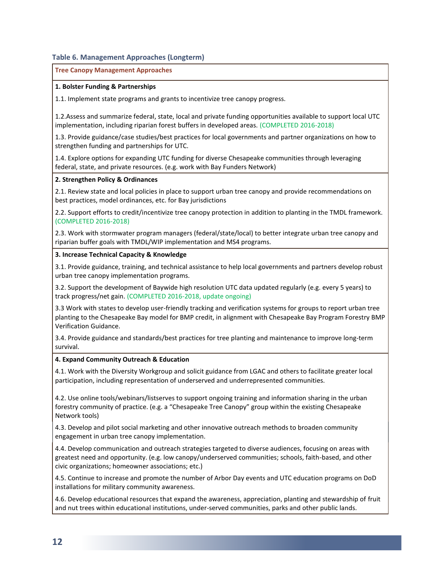#### **Table 6. Management Approaches (Longterm)**

#### **Tree Canopy Management Approaches**

#### **1. Bolster Funding & Partnerships**

1.1. Implement state programs and grants to incentivize tree canopy progress.

1.2.Assess and summarize federal, state, local and private funding opportunities available to support local UTC implementation, including riparian forest buffers in developed areas. (COMPLETED 2016-2018)

1.3. Provide guidance/case studies/best practices for local governments and partner organizations on how to strengthen funding and partnerships for UTC.

1.4. Explore options for expanding UTC funding for diverse Chesapeake communities through leveraging federal, state, and private resources. (e.g. work with Bay Funders Network)

#### **2. Strengthen Policy & Ordinances**

2.1. Review state and local policies in place to support urban tree canopy and provide recommendations on best practices, model ordinances, etc. for Bay jurisdictions

2.2. Support efforts to credit/incentivize tree canopy protection in addition to planting in the TMDL framework. (COMPLETED 2016-2018)

2.3. Work with stormwater program managers (federal/state/local) to better integrate urban tree canopy and riparian buffer goals with TMDL/WIP implementation and MS4 programs.

#### **3. Increase Technical Capacity & Knowledge**

3.1. Provide guidance, training, and technical assistance to help local governments and partners develop robust urban tree canopy implementation programs.

3.2. Support the development of Baywide high resolution UTC data updated regularly (e.g. every 5 years) to track progress/net gain. (COMPLETED 2016-2018, update ongoing)

3.3 Work with states to develop user-friendly tracking and verification systems for groups to report urban tree planting to the Chesapeake Bay model for BMP credit, in alignment with Chesapeake Bay Program Forestry BMP Verification Guidance.

3.4. Provide guidance and standards/best practices for tree planting and maintenance to improve long-term survival.

#### **4. Expand Community Outreach & Education**

4.1. Work with the Diversity Workgroup and solicit guidance from LGAC and others to facilitate greater local participation, including representation of underserved and underrepresented communities.

4.2. Use online tools/webinars/listserves to support ongoing training and information sharing in the urban forestry community of practice. (e.g. a "Chesapeake Tree Canopy" group within the existing Chesapeake Network tools)

4.3. Develop and pilot social marketing and other innovative outreach methods to broaden community engagement in urban tree canopy implementation.

4.4. Develop communication and outreach strategies targeted to diverse audiences, focusing on areas with greatest need and opportunity. (e.g. low canopy/underserved communities; schools, faith-based, and other civic organizations; homeowner associations; etc.)

4.5. Continue to increase and promote the number of Arbor Day events and UTC education programs on DoD installations for military community awareness.

4.6. Develop educational resources that expand the awareness, appreciation, planting and stewardship of fruit and nut trees within educational institutions, under-served communities, parks and other public lands.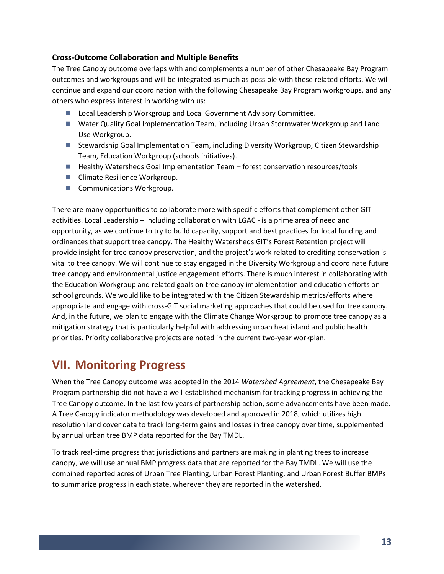#### **Cross-Outcome Collaboration and Multiple Benefits**

The Tree Canopy outcome overlaps with and complements a number of other Chesapeake Bay Program outcomes and workgroups and will be integrated as much as possible with these related efforts. We will continue and expand our coordination with the following Chesapeake Bay Program workgroups, and any others who express interest in working with us:

- Local Leadership Workgroup and Local Government Advisory Committee.
- Water Quality Goal Implementation Team, including Urban Stormwater Workgroup and Land Use Workgroup.
- Stewardship Goal Implementation Team, including Diversity Workgroup, Citizen Stewardship Team, Education Workgroup (schools initiatives).
- Healthy Watersheds Goal Implementation Team forest conservation resources/tools
- Climate Resilience Workgroup.
- Communications Workgroup.

There are many opportunities to collaborate more with specific efforts that complement other GIT activities. Local Leadership – including collaboration with LGAC - is a prime area of need and opportunity, as we continue to try to build capacity, support and best practices for local funding and ordinances that support tree canopy. The Healthy Watersheds GIT's Forest Retention project will provide insight for tree canopy preservation, and the project's work related to crediting conservation is vital to tree canopy. We will continue to stay engaged in the Diversity Workgroup and coordinate future tree canopy and environmental justice engagement efforts. There is much interest in collaborating with the Education Workgroup and related goals on tree canopy implementation and education efforts on school grounds. We would like to be integrated with the Citizen Stewardship metrics/efforts where appropriate and engage with cross-GIT social marketing approaches that could be used for tree canopy. And, in the future, we plan to engage with the Climate Change Workgroup to promote tree canopy as a mitigation strategy that is particularly helpful with addressing urban heat island and public health priorities. Priority collaborative projects are noted in the current two-year workplan.

### **VII. Monitoring Progress**

When the Tree Canopy outcome was adopted in the 2014 *Watershed Agreement*, the Chesapeake Bay Program partnership did not have a well-established mechanism for tracking progress in achieving the Tree Canopy outcome. In the last few years of partnership action, some advancements have been made. A Tree Canopy indicator methodology was developed and approved in 2018, which utilizes high resolution land cover data to track long-term gains and losses in tree canopy over time, supplemented by annual urban tree BMP data reported for the Bay TMDL.

To track real-time progress that jurisdictions and partners are making in planting trees to increase canopy, we will use annual BMP progress data that are reported for the Bay TMDL. We will use the combined reported acres of Urban Tree Planting, Urban Forest Planting, and Urban Forest Buffer BMPs to summarize progress in each state, wherever they are reported in the watershed.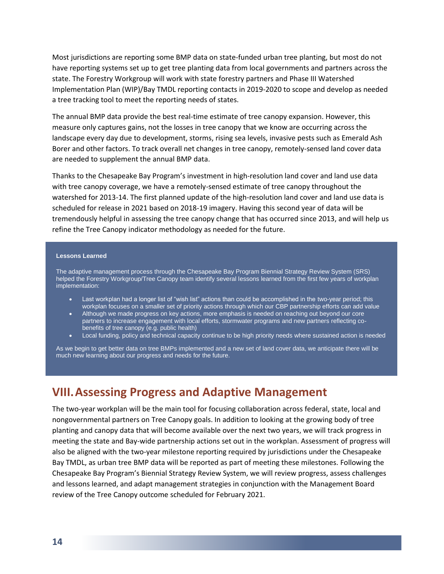Most jurisdictions are reporting some BMP data on state-funded urban tree planting, but most do not have reporting systems set up to get tree planting data from local governments and partners across the state. The Forestry Workgroup will work with state forestry partners and Phase III Watershed Implementation Plan (WIP)/Bay TMDL reporting contacts in 2019-2020 to scope and develop as needed a tree tracking tool to meet the reporting needs of states.

The annual BMP data provide the best real-time estimate of tree canopy expansion. However, this measure only captures gains, not the losses in tree canopy that we know are occurring across the landscape every day due to development, storms, rising sea levels, invasive pests such as Emerald Ash Borer and other factors. To track overall net changes in tree canopy, remotely-sensed land cover data are needed to supplement the annual BMP data.

Thanks to the Chesapeake Bay Program's investment in high-resolution land cover and land use data with tree canopy coverage, we have a remotely-sensed estimate of tree canopy throughout the watershed for 2013-14. The first planned update of the high-resolution land cover and land use data is scheduled for release in 2021 based on 2018-19 imagery. Having this second year of data will be tremendously helpful in assessing the tree canopy change that has occurred since 2013, and will help us refine the Tree Canopy indicator methodology as needed for the future.

#### **Lessons Learned**

The adaptive management process through the Chesapeake Bay Program Biennial Strategy Review System (SRS) helped the Forestry Workgroup/Tree Canopy team identify several lessons learned from the first few years of workplan implementation:

- Last workplan had a longer list of "wish list" actions than could be accomplished in the two-year period; this workplan focuses on a smaller set of priority actions through which our CBP partnership efforts can add value
- Although we made progress on key actions, more emphasis is needed on reaching out beyond our core partners to increase engagement with local efforts, stormwater programs and new partners reflecting cobenefits of tree canopy (e.g. public health)
- Local funding, policy and technical capacity continue to be high priority needs where sustained action is needed

As we begin to get better data on tree BMPs implemented and a new set of land cover data, we anticipate there will be much new learning about our progress and needs for the future.

### **VIII.Assessing Progress and Adaptive Management**

The two-year workplan will be the main tool for focusing collaboration across federal, state, local and nongovernmental partners on Tree Canopy goals. In addition to looking at the growing body of tree planting and canopy data that will become available over the next two years, we will track progress in meeting the state and Bay-wide partnership actions set out in the workplan. Assessment of progress will also be aligned with the two-year milestone reporting required by jurisdictions under the Chesapeake Bay TMDL, as urban tree BMP data will be reported as part of meeting these milestones. Following the Chesapeake Bay Program's Biennial Strategy Review System, we will review progress, assess challenges and lessons learned, and adapt management strategies in conjunction with the Management Board review of the Tree Canopy outcome scheduled for February 2021.